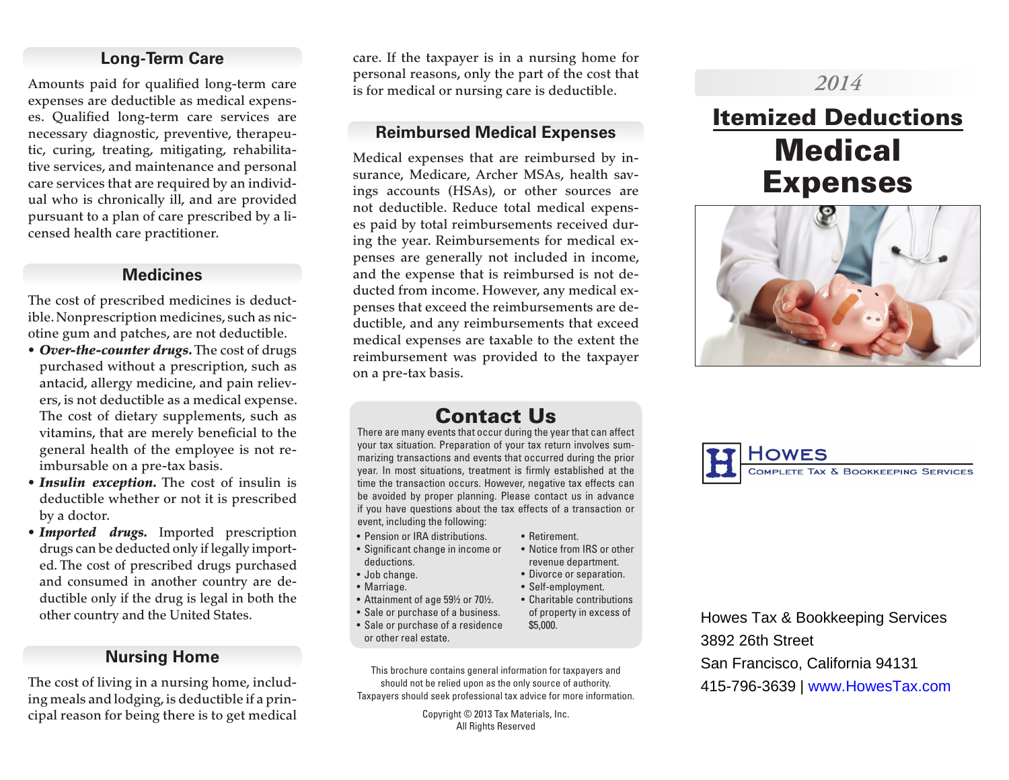## **Long-Term Care**

Amounts paid for qualified long-term care expenses are deductible as medical expenses. Qualified long-term care services are necessary diagnostic, preventive, therapeutic, curing, treating, mitigating, rehabilitative services, and maintenance and personal care services that are required by an individual who is chronically ill, and are provided pursuant to a plan of care prescribed by a licensed health care practitioner.

### **Medicines**

The cost of prescribed medicines is deductible. Nonprescription medicines, such as nicotine gum and patches, are not deductible.

- *Over-the-counter drugs.* The cost of drugs purchased without a prescription, such as antacid, allergy medicine, and pain relievers, is not deductible as a medical expense. The cost of dietary supplements, such as vitamins, that are merely beneficial to the general health of the employee is not reimbursable on a pre-tax basis.
- *Insulin exception.* The cost of insulin is deductible whether or not it is prescribed by a doctor.
- *Imported drugs.* Imported prescription drugs can be deducted only if legally imported. The cost of prescribed drugs purchased and consumed in another country are deductible only if the drug is legal in both the other country and the United States.

## **Nursing Home**

The cost of living in a nursing home, including meals and lodging, is deductible if a principal reason for being there is to get medical care. If the taxpayer is in a nursing home for personal reasons, only the part of the cost that is for medical or nursing care is deductible.

## **Reimbursed Medical Expenses**

Medical expenses that are reimbursed by insurance, Medicare, Archer MSAs, health savings accounts (HSAs), or other sources are not deductible. Reduce total medical expenses paid by total reimbursements received during the year. Reimbursements for medical expenses are generally not included in income, and the expense that is reimbursed is not deducted from income. However, any medical expenses that exceed the reimbursements are deductible, and any reimbursements that exceed medical expenses are taxable to the extent the reimbursement was provided to the taxpayer on a pre-tax basis.

# *2014*

# Itemized Deductions **Medical** Expenses



COMPLETE TAX & BOOKKEEPING SERVICES

# Contact Us

There are many events that occur during the year that can affect your tax situation. Preparation of your tax return involves summarizing transactions and events that occurred during the prior year. In most situations, treatment is firmly established at the time the transaction occurs. However, negative tax effects can be avoided by proper planning. Please contact us in advance if you have questions about the tax effects of a transaction or event, including the following:

- Pension or IRA distributions.
- Significant change in income or deductions.
- Job change.
- Marriage.
- Attainment of age 59½ or 70½.
- Sale or purchase of a business.
- Sale or purchase of a residence or other real estate.

This brochure contains general information for taxpayers and should not be relied upon as the only source of authority. Taxpayers should seek professional tax advice for more information.

> Copyright © 2013 Tax Materials, Inc. All Rights Reserved

- Retirement.
- revenue department.
- Divorce or separation.
- Self-employment.
- Charitable contributions of property in excess of \$5,000.

Howes Tax & Bookkeeping Services 3892 26th Street San Francisco, California 94131 415-796-3639 | www.HowesTax.com

• Notice from IRS or other